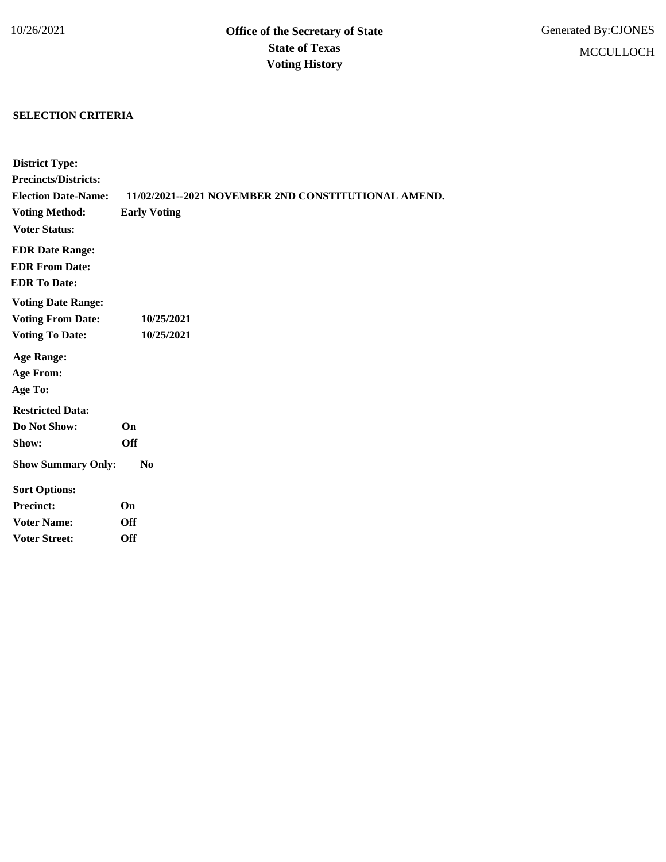## **SELECTION CRITERIA**

| <b>District Type:</b>       |                                                     |
|-----------------------------|-----------------------------------------------------|
| <b>Precincts/Districts:</b> |                                                     |
| <b>Election Date-Name:</b>  | 11/02/2021--2021 NOVEMBER 2ND CONSTITUTIONAL AMEND. |
| <b>Voting Method:</b>       | <b>Early Voting</b>                                 |
| <b>Voter Status:</b>        |                                                     |
| <b>EDR Date Range:</b>      |                                                     |
| <b>EDR From Date:</b>       |                                                     |
| <b>EDR</b> To Date:         |                                                     |
| <b>Voting Date Range:</b>   |                                                     |
| <b>Voting From Date:</b>    | 10/25/2021                                          |
| <b>Voting To Date:</b>      | 10/25/2021                                          |
| <b>Age Range:</b>           |                                                     |
| <b>Age From:</b>            |                                                     |
| Age To:                     |                                                     |
| <b>Restricted Data:</b>     |                                                     |
| Do Not Show:                | <b>On</b>                                           |
| Show:                       | <b>Off</b>                                          |
| <b>Show Summary Only:</b>   | $\bf No$                                            |
| <b>Sort Options:</b>        |                                                     |
| <b>Precinct:</b>            | On                                                  |
| <b>Voter Name:</b>          | <b>Off</b>                                          |
| <b>Voter Street:</b>        | Off                                                 |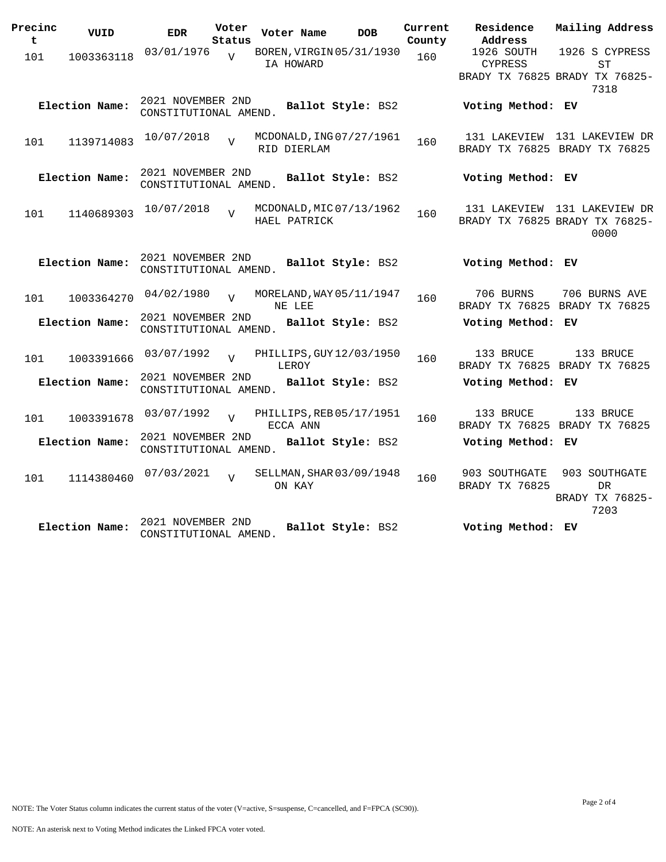| Precinc<br>t | VUID           | <b>EDR</b>                                 | Voter<br>Status |              | Voter Name  | <b>DOB</b>               | Current<br>County | Residence<br>Address            | Mailing Address                                                        |
|--------------|----------------|--------------------------------------------|-----------------|--------------|-------------|--------------------------|-------------------|---------------------------------|------------------------------------------------------------------------|
| 101          | 1003363118     | 03/01/1976                                 | $\overline{U}$  |              | IA HOWARD   | BOREN, VIRGIN 05/31/1930 | 160               | 1926 SOUTH<br><b>CYPRESS</b>    | 1926 S CYPRESS<br><b>ST</b><br>BRADY TX 76825 BRADY TX 76825-<br>7318  |
|              | Election Name: | 2021 NOVEMBER 2ND<br>CONSTITUTIONAL AMEND. |                 |              |             | Ballot Style: BS2        |                   | Voting Method: EV               |                                                                        |
| 101          | 1139714083     | 10/07/2018                                 | $\overline{z}$  |              | RID DIERLAM | MCDONALD, ING 07/27/1961 | 160               |                                 | 131 LAKEVIEW 131 LAKEVIEW DR<br>BRADY TX 76825 BRADY TX 76825          |
|              | Election Name: | 2021 NOVEMBER 2ND<br>CONSTITUTIONAL AMEND. |                 |              |             | Ballot Style: BS2        |                   | Voting Method: EV               |                                                                        |
| 101          | 1140689303     | 10/07/2018                                 | $\overline{U}$  | HAEL PATRICK |             | MCDONALD, MIC 07/13/1962 | 160               |                                 | 131 LAKEVIEW 131 LAKEVIEW DR<br>BRADY TX 76825 BRADY TX 76825-<br>0000 |
|              | Election Name: | 2021 NOVEMBER 2ND<br>CONSTITUTIONAL AMEND. |                 |              |             | Ballot Style: BS2        |                   | Voting Method: EV               |                                                                        |
| 101          | 1003364270     | 04/02/1980                                 | $\overline{17}$ |              | NE LEE      | MORELAND, WAY 05/11/1947 | 160               | 706 BURNS                       | 706 BURNS AVE<br>BRADY TX 76825 BRADY TX 76825                         |
|              | Election Name: | 2021 NOVEMBER 2ND<br>CONSTITUTIONAL AMEND. |                 |              |             | Ballot Style: BS2        |                   | Voting Method: EV               |                                                                        |
| 101          | 1003391666     | 03/07/1992                                 |                 |              | LEROY       | PHILLIPS, GUY 12/03/1950 | 160               | 133 BRUCE                       | 133 BRUCE<br>BRADY TX 76825 BRADY TX 76825                             |
|              | Election Name: | 2021 NOVEMBER 2ND<br>CONSTITUTIONAL AMEND. |                 |              |             | Ballot Style: BS2        |                   | Voting Method: EV               |                                                                        |
| 101          | 1003391678     | 03/07/1992                                 | $\overline{U}$  |              | ECCA ANN    | PHILLIPS, REB 05/17/1951 | 160               | 133 BRUCE                       | 133 BRUCE<br>BRADY TX 76825 BRADY TX 76825                             |
|              | Election Name: | 2021 NOVEMBER 2ND<br>CONSTITUTIONAL AMEND. |                 |              |             | Ballot Style: BS2        |                   | Voting Method: EV               |                                                                        |
| 101          | 1114380460     | 07/03/2021                                 | $\overline{V}$  |              | ON KAY      | SELLMAN, SHAR 03/09/1948 | 160               | 903 SOUTHGATE<br>BRADY TX 76825 | 903 SOUTHGATE<br><b>DR</b><br>BRADY TX 76825-<br>7203                  |
|              | Election Name: | 2021 NOVEMBER 2ND<br>CONSTITUTIONAL AMEND. |                 |              |             | Ballot Style: BS2        |                   | Voting Method: EV               |                                                                        |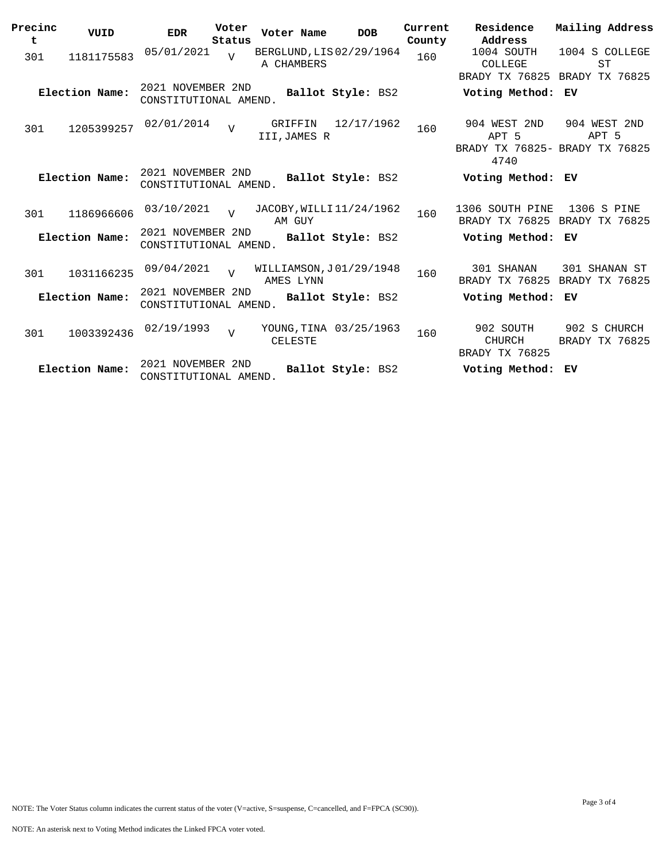| Precinc<br>t | VUID           | <b>EDR</b>                                 | Voter<br>Status | Voter Name                             | <b>DOB</b>             | Current<br>County | Residence<br>Address                                            | Mailing Address                              |
|--------------|----------------|--------------------------------------------|-----------------|----------------------------------------|------------------------|-------------------|-----------------------------------------------------------------|----------------------------------------------|
| 301          | 1181175583     | 05/01/2021                                 |                 | BERGLUND, LIS 02/29/1964<br>A CHAMBERS |                        | 160               | 1004 SOUTH<br>COLLEGE                                           | 1004 S COLLEGE<br><b>ST</b>                  |
|              | Election Name: | 2021 NOVEMBER 2ND<br>CONSTITUTIONAL AMEND. |                 |                                        | Ballot Style: BS2      |                   | BRADY TX 76825<br>Voting Method:                                | BRADY TX 76825<br>EV                         |
| 301          | 1205399257     | 02/01/2014                                 | $\overline{U}$  | GRIFFIN<br>III, JAMES R                | 12/17/1962             | 160               | 904 WEST 2ND<br>APT 5<br>BRADY TX 76825- BRADY TX 76825<br>4740 | 904 WEST 2ND<br>APT 5                        |
|              | Election Name: | 2021 NOVEMBER 2ND<br>CONSTITUTIONAL AMEND. |                 |                                        | Ballot Style: BS2      |                   | Voting Method: EV                                               |                                              |
| 301          | 1186966606     | 03/10/2021                                 |                 | JACOBY, WILLI 11/24/1962<br>AM GUY     |                        | 160               | 1306 SOUTH PINE                                                 | 1306 S PINE<br>BRADY TX 76825 BRADY TX 76825 |
|              | Election Name: | 2021 NOVEMBER 2ND<br>CONSTITUTIONAL AMEND. |                 |                                        | Ballot Style: BS2      |                   | Voting Method: EV                                               |                                              |
| 301          | 1031166235     | 09/04/2021                                 | $\overline{U}$  | WILLIAMSON, J01/29/1948<br>AMES LYNN   |                        | 160               | 301 SHANAN<br>BRADY TX 76825                                    | 301 SHANAN ST<br>BRADY TX 76825              |
|              | Election Name: | 2021 NOVEMBER 2ND<br>CONSTITUTIONAL AMEND. |                 |                                        | Ballot Style: BS2      |                   | Voting Method: EV                                               |                                              |
| 301          | 1003392436     | 02/19/1993                                 | $\overline{V}$  | <b>CELESTE</b>                         | YOUNG, TINA 03/25/1963 | 160               | 902 SOUTH<br>CHURCH<br>BRADY TX 76825                           | 902 S CHURCH<br>BRADY TX 76825               |
|              | Election Name: | 2021 NOVEMBER 2ND<br>CONSTITUTIONAL AMEND. |                 |                                        | Ballot Style: BS2      |                   | Voting Method:                                                  | ЕV                                           |